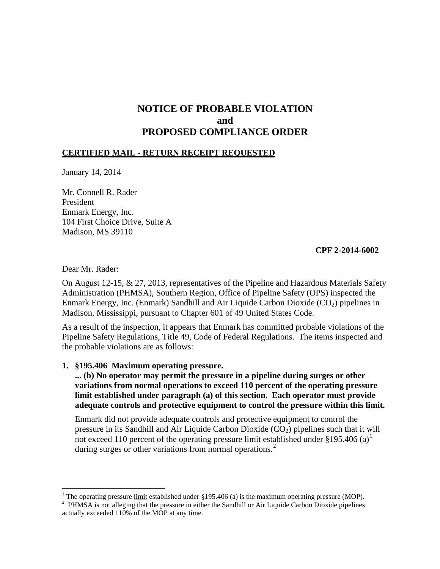# **NOTICE OF PROBABLE VIOLATION and PROPOSED COMPLIANCE ORDER**

## **CERTIFIED MAIL - RETURN RECEIPT REQUESTED**

January 14, 2014

Mr. Connell R. Rader President Enmark Energy, Inc. 104 First Choice Drive, Suite A Madison, MS 39110

## **CPF 2-2014-6002**

Dear Mr. Rader:

 $\overline{a}$ 

On August 12-15, & 27, 2013, representatives of the Pipeline and Hazardous Materials Safety Administration (PHMSA), Southern Region, Office of Pipeline Safety (OPS) inspected the Enmark Energy, Inc. (Enmark) Sandhill and Air Liquide Carbon Dioxide  $(CO_2)$  pipelines in Madison, Mississippi, pursuant to Chapter 601 of 49 United States Code.

As a result of the inspection, it appears that Enmark has committed probable violations of the Pipeline Safety Regulations, Title 49, Code of Federal Regulations. The items inspected and the probable violations are as follows:

## **1. §195.406 Maximum operating pressure.**

# **... (b) No operator may permit the pressure in a pipeline during surges or other variations from normal operations to exceed 110 percent of the operating pressure limit established under paragraph (a) of this section. Each operator must provide adequate controls and protective equipment to control the pressure within this limit.**

Enmark did not provide adequate controls and protective equipment to control the pressure in its Sandhill and Air Liquide Carbon Dioxide  $(CO<sub>2</sub>)$  pipelines such that it will not exceed 110 percent of the operating pressure limit established under  $\S 195.406$  (a)<sup>1</sup> during surges or other variations from normal operations.<sup>2</sup>

<sup>&</sup>lt;sup>1</sup> The operating pressure <u>limit</u> established under §195.406 (a) is the maximum operating pressure (MOP).<br><sup>2</sup> PHMS A is not elleging that the pressure in either the Sandhill or Air Liquide Carbon Dioxide pinelines

<sup>&</sup>lt;sup>2</sup> PHMSA is  $\frac{1}{2}$  alleging that the pressure in either the Sandhill or Air Liquide Carbon Dioxide pipelines actually exceeded 110% of the MOP at any time.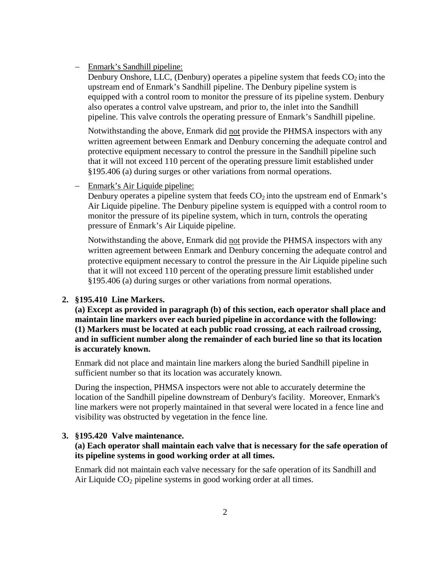#### Enmark's Sandhill pipeline:

Denbury Onshore, LLC, (Denbury) operates a pipeline system that feeds  $CO<sub>2</sub>$  into the upstream end of Enmark's Sandhill pipeline. The Denbury pipeline system is equipped with a control room to monitor the pressure of its pipeline system. Denbury also operates a control valve upstream, and prior to, the inlet into the Sandhill pipeline. This valve controls the operating pressure of Enmark's Sandhill pipeline.

Notwithstanding the above, Enmark did not provide the PHMSA inspectors with any written agreement between Enmark and Denbury concerning the adequate control and protective equipment necessary to control the pressure in the Sandhill pipeline such that it will not exceed 110 percent of the operating pressure limit established under §195.406 (a) during surges or other variations from normal operations.

− Enmark's Air Liquide pipeline:

Denbury operates a pipeline system that feeds  $CO<sub>2</sub>$  into the upstream end of Enmark's Air Liquide pipeline. The Denbury pipeline system is equipped with a control room to monitor the pressure of its pipeline system, which in turn, controls the operating pressure of Enmark's Air Liquide pipeline.

Notwithstanding the above, Enmark did not provide the PHMSA inspectors with any written agreement between Enmark and Denbury concerning the adequate control and protective equipment necessary to control the pressure in the Air Liquide pipeline such that it will not exceed 110 percent of the operating pressure limit established under §195.406 (a) during surges or other variations from normal operations.

# **2. §195.410 Line Markers.**

**(a) Except as provided in paragraph (b) of this section, each operator shall place and maintain line markers over each buried pipeline in accordance with the following: (1) Markers must be located at each public road crossing, at each railroad crossing, and in sufficient number along the remainder of each buried line so that its location is accurately known.**

Enmark did not place and maintain line markers along the buried Sandhill pipeline in sufficient number so that its location was accurately known.

During the inspection, PHMSA inspectors were not able to accurately determine the location of the Sandhill pipeline downstream of Denbury's facility. Moreover, Enmark's line markers were not properly maintained in that several were located in a fence line and visibility was obstructed by vegetation in the fence line.

#### **3. §195.420 Valve maintenance.**

# **(a) Each operator shall maintain each valve that is necessary for the safe operation of its pipeline systems in good working order at all times.**

Enmark did not maintain each valve necessary for the safe operation of its Sandhill and Air Liquide  $CO<sub>2</sub>$  pipeline systems in good working order at all times.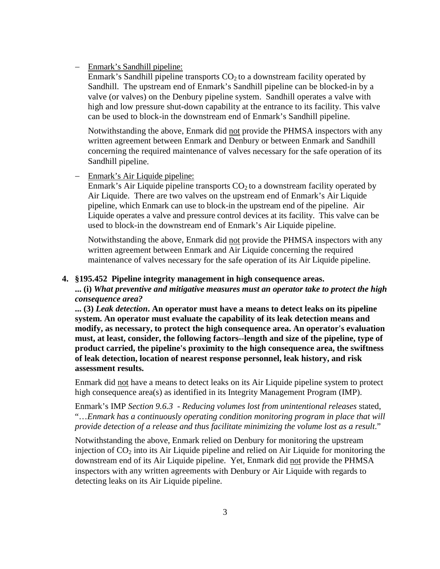## Enmark's Sandhill pipeline:

Enmark's Sandhill pipeline transports  $CO<sub>2</sub>$  to a downstream facility operated by Sandhill. The upstream end of Enmark's Sandhill pipeline can be blocked-in by a valve (or valves) on the Denbury pipeline system. Sandhill operates a valve with high and low pressure shut-down capability at the entrance to its facility. This valve can be used to block-in the downstream end of Enmark's Sandhill pipeline.

Notwithstanding the above, Enmark did not provide the PHMSA inspectors with any written agreement between Enmark and Denbury or between Enmark and Sandhill concerning the required maintenance of valves necessary for the safe operation of its Sandhill pipeline.

# Enmark's Air Liquide pipeline:

Enmark's Air Liquide pipeline transports  $CO<sub>2</sub>$  to a downstream facility operated by Air Liquide. There are two valves on the upstream end of Enmark's Air Liquide pipeline, which Enmark can use to block-in the upstream end of the pipeline. Air Liquide operates a valve and pressure control devices at its facility. This valve can be used to block-in the downstream end of Enmark's Air Liquide pipeline.

Notwithstanding the above, Enmark did not provide the PHMSA inspectors with any written agreement between Enmark and Air Liquide concerning the required maintenance of valves necessary for the safe operation of its Air Liquide pipeline.

#### **4. §195.452 Pipeline integrity management in high consequence areas.**

**... (i)** *What preventive and mitigative measures must an operator take to protect the high consequence area?*

**... (3)** *Leak detection***. An operator must have a means to detect leaks on its pipeline system. An operator must evaluate the capability of its leak detection means and modify, as necessary, to protect the high consequence area. An operator's evaluation must, at least, consider, the following factors--length and size of the pipeline, type of product carried, the pipeline's proximity to the high consequence area, the swiftness of leak detection, location of nearest response personnel, leak history, and risk assessment results.**

Enmark did not have a means to detect leaks on its Air Liquide pipeline system to protect high consequence area(s) as identified in its Integrity Management Program (IMP).

Enmark's IMP *Section 9.6.3 - Reducing volumes lost from unintentional releases* stated, "…*Enmark has a continuously operating condition monitoring program in place that will provide detection of a release and thus facilitate minimizing the volume lost as a result*."

Notwithstanding the above, Enmark relied on Denbury for monitoring the upstream injection of  $CO<sub>2</sub>$  into its Air Liquide pipeline and relied on Air Liquide for monitoring the downstream end of its Air Liquide pipeline. Yet, Enmark did not provide the PHMSA inspectors with any written agreements with Denbury or Air Liquide with regards to detecting leaks on its Air Liquide pipeline.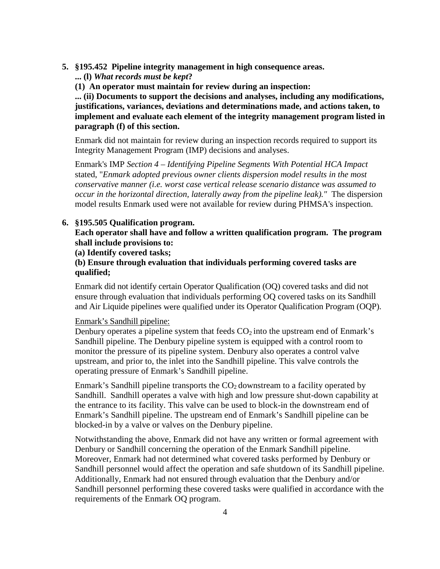- **5. §195.452 Pipeline integrity management in high consequence areas.**
	- **... (l)** *What records must be kept***?**
	- **(1) An operator must maintain for review during an inspection:**

**... (ii) Documents to support the decisions and analyses, including any modifications, justifications, variances, deviations and determinations made, and actions taken, to implement and evaluate each element of the integrity management program listed in paragraph (f) of this section.**

Enmark did not maintain for review during an inspection records required to support its Integrity Management Program (IMP) decisions and analyses.

Enmark's IMP *Section 4 – Identifying Pipeline Segments With Potential HCA Impact* stated, "*Enmark adopted previous owner clients dispersion model results in the most conservative manner (i.e. worst case vertical release scenario distance was assumed to occur in the horizontal direction, laterally away from the pipeline leak)."* The dispersion model results Enmark used were not available for review during PHMSA's inspection.

## **6. §195.505 Qualification program.**

**Each operator shall have and follow a written qualification program. The program shall include provisions to:**

**(a) Identify covered tasks;**

# **(b) Ensure through evaluation that individuals performing covered tasks are qualified;**

Enmark did not identify certain Operator Qualification (OQ) covered tasks and did not ensure through evaluation that individuals performing OQ covered tasks on its Sandhill and Air Liquide pipelines were qualified under its Operator Qualification Program (OQP).

#### Enmark's Sandhill pipeline:

Denbury operates a pipeline system that feeds  $CO<sub>2</sub>$  into the upstream end of Enmark's Sandhill pipeline. The Denbury pipeline system is equipped with a control room to monitor the pressure of its pipeline system. Denbury also operates a control valve upstream, and prior to, the inlet into the Sandhill pipeline. This valve controls the operating pressure of Enmark's Sandhill pipeline.

Enmark's Sandhill pipeline transports the  $CO<sub>2</sub>$  downstream to a facility operated by Sandhill. Sandhill operates a valve with high and low pressure shut-down capability at the entrance to its facility. This valve can be used to block-in the downstream end of Enmark's Sandhill pipeline. The upstream end of Enmark's Sandhill pipeline can be blocked-in by a valve or valves on the Denbury pipeline.

Notwithstanding the above, Enmark did not have any written or formal agreement with Denbury or Sandhill concerning the operation of the Enmark Sandhill pipeline. Moreover, Enmark had not determined what covered tasks performed by Denbury or Sandhill personnel would affect the operation and safe shutdown of its Sandhill pipeline. Additionally, Enmark had not ensured through evaluation that the Denbury and/or Sandhill personnel performing these covered tasks were qualified in accordance with the requirements of the Enmark OQ program.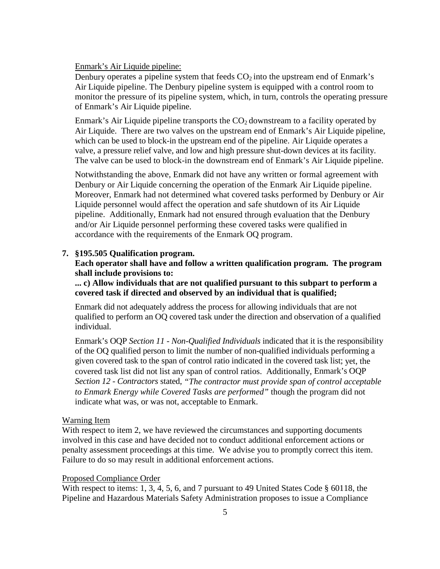Enmark's Air Liquide pipeline:

Denbury operates a pipeline system that feeds  $CO<sub>2</sub>$  into the upstream end of Enmark's Air Liquide pipeline. The Denbury pipeline system is equipped with a control room to monitor the pressure of its pipeline system, which, in turn, controls the operating pressure of Enmark's Air Liquide pipeline.

Enmark's Air Liquide pipeline transports the  $CO<sub>2</sub>$  downstream to a facility operated by Air Liquide. There are two valves on the upstream end of Enmark's Air Liquide pipeline, which can be used to block-in the upstream end of the pipeline. Air Liquide operates a valve, a pressure relief valve, and low and high pressure shut-down devices at its facility. The valve can be used to block-in the downstream end of Enmark's Air Liquide pipeline.

Notwithstanding the above, Enmark did not have any written or formal agreement with Denbury or Air Liquide concerning the operation of the Enmark Air Liquide pipeline. Moreover, Enmark had not determined what covered tasks performed by Denbury or Air Liquide personnel would affect the operation and safe shutdown of its Air Liquide pipeline. Additionally, Enmark had not ensured through evaluation that the Denbury and/or Air Liquide personnel performing these covered tasks were qualified in accordance with the requirements of the Enmark OQ program.

## **7. §195.505 Qualification program.**

# **Each operator shall have and follow a written qualification program. The program shall include provisions to:**

# **... c) Allow individuals that are not qualified pursuant to this subpart to perform a covered task if directed and observed by an individual that is qualified;**

Enmark did not adequately address the process for allowing individuals that are not qualified to perform an OQ covered task under the direction and observation of a qualified individual.

Enmark's OQP *Section 11 - Non-Qualified Individuals* indicated that it is the responsibility of the OQ qualified person to limit the number of non-qualified individuals performing a given covered task to the span of control ratio indicated in the covered task list; yet, the covered task list did not list any span of control ratios. Additionally, Enmark's OQP *Section 12 - Contractors* stated, *"The contractor must provide span of control acceptable to Enmark Energy while Covered Tasks are performed"* though the program did not indicate what was, or was not, acceptable to Enmark.

#### Warning Item

With respect to item 2, we have reviewed the circumstances and supporting documents involved in this case and have decided not to conduct additional enforcement actions or penalty assessment proceedings at this time. We advise you to promptly correct this item. Failure to do so may result in additional enforcement actions.

#### Proposed Compliance Order

With respect to items: 1, 3, 4, 5, 6, and 7 pursuant to 49 United States Code § 60118, the Pipeline and Hazardous Materials Safety Administration proposes to issue a Compliance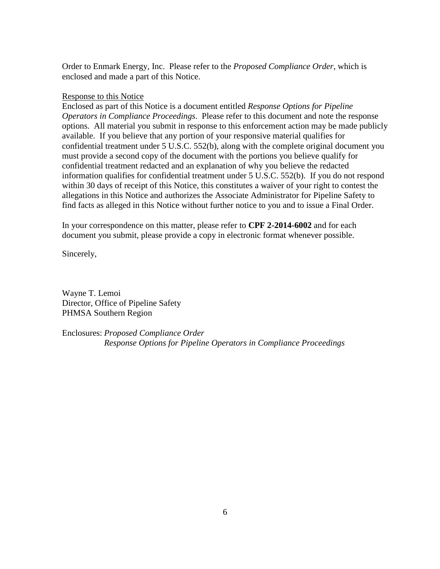Order to Enmark Energy, Inc. Please refer to the *Proposed Compliance Order*, which is enclosed and made a part of this Notice.

# Response to this Notice

Enclosed as part of this Notice is a document entitled *Response Options for Pipeline Operators in Compliance Proceedings*. Please refer to this document and note the response options. All material you submit in response to this enforcement action may be made publicly available. If you believe that any portion of your responsive material qualifies for confidential treatment under 5 U.S.C. 552(b), along with the complete original document you must provide a second copy of the document with the portions you believe qualify for confidential treatment redacted and an explanation of why you believe the redacted information qualifies for confidential treatment under 5 U.S.C. 552(b). If you do not respond within 30 days of receipt of this Notice, this constitutes a waiver of your right to contest the allegations in this Notice and authorizes the Associate Administrator for Pipeline Safety to find facts as alleged in this Notice without further notice to you and to issue a Final Order.

In your correspondence on this matter, please refer to **CPF 2-2014-6002** and for each document you submit, please provide a copy in electronic format whenever possible.

Sincerely,

Wayne T. Lemoi Director, Office of Pipeline Safety PHMSA Southern Region

Enclosures: *Proposed Compliance Order Response Options for Pipeline Operators in Compliance Proceedings*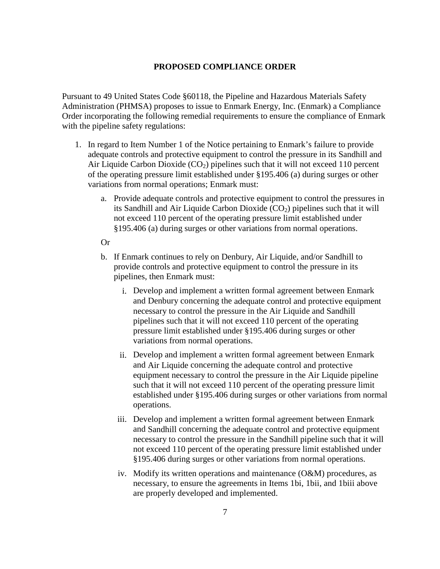# **PROPOSED COMPLIANCE ORDER**

Pursuant to 49 United States Code §60118, the Pipeline and Hazardous Materials Safety Administration (PHMSA) proposes to issue to Enmark Energy, Inc. (Enmark) a Compliance Order incorporating the following remedial requirements to ensure the compliance of Enmark with the pipeline safety regulations:

- 1. In regard to Item Number 1 of the Notice pertaining to Enmark's failure to provide adequate controls and protective equipment to control the pressure in its Sandhill and Air Liquide Carbon Dioxide  $(CO_2)$  pipelines such that it will not exceed 110 percent of the operating pressure limit established under §195.406 (a) during surges or other variations from normal operations; Enmark must:
	- a. Provide adequate controls and protective equipment to control the pressures in its Sandhill and Air Liquide Carbon Dioxide  $(CO<sub>2</sub>)$  pipelines such that it will not exceed 110 percent of the operating pressure limit established under §195.406 (a) during surges or other variations from normal operations.

#### Or

- b. If Enmark continues to rely on Denbury, Air Liquide, and/or Sandhill to provide controls and protective equipment to control the pressure in its pipelines, then Enmark must:
	- i. Develop and implement a written formal agreement between Enmark and Denbury concerning the adequate control and protective equipment necessary to control the pressure in the Air Liquide and Sandhill pipelines such that it will not exceed 110 percent of the operating pressure limit established under §195.406 during surges or other variations from normal operations.
	- ii. Develop and implement a written formal agreement between Enmark and Air Liquide concerning the adequate control and protective equipment necessary to control the pressure in the Air Liquide pipeline such that it will not exceed 110 percent of the operating pressure limit established under §195.406 during surges or other variations from normal operations.
	- iii. Develop and implement a written formal agreement between Enmark and Sandhill concerning the adequate control and protective equipment necessary to control the pressure in the Sandhill pipeline such that it will not exceed 110 percent of the operating pressure limit established under §195.406 during surges or other variations from normal operations.
	- iv. Modify its written operations and maintenance (O&M) procedures, as necessary, to ensure the agreements in Items 1bi, 1bii, and 1biii above are properly developed and implemented.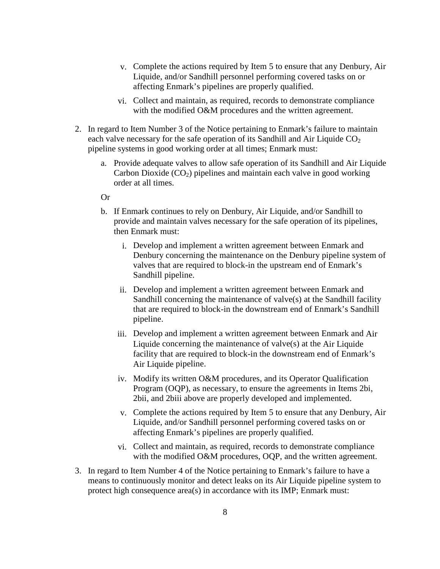- v. Complete the actions required by Item 5 to ensure that any Denbury, Air Liquide, and/or Sandhill personnel performing covered tasks on or affecting Enmark's pipelines are properly qualified.
- vi. Collect and maintain, as required, records to demonstrate compliance with the modified O&M procedures and the written agreement.
- 2. In regard to Item Number 3 of the Notice pertaining to Enmark's failure to maintain each valve necessary for the safe operation of its Sandhill and Air Liquide  $CO<sub>2</sub>$ pipeline systems in good working order at all times; Enmark must:
	- a. Provide adequate valves to allow safe operation of its Sandhill and Air Liquide Carbon Dioxide  $(CO_2)$  pipelines and maintain each valve in good working order at all times.

# Or

- b. If Enmark continues to rely on Denbury, Air Liquide, and/or Sandhill to provide and maintain valves necessary for the safe operation of its pipelines, then Enmark must:
	- i. Develop and implement a written agreement between Enmark and Denbury concerning the maintenance on the Denbury pipeline system of valves that are required to block-in the upstream end of Enmark's Sandhill pipeline.
	- ii. Develop and implement a written agreement between Enmark and Sandhill concerning the maintenance of valve(s) at the Sandhill facility that are required to block-in the downstream end of Enmark's Sandhill pipeline.
	- iii. Develop and implement a written agreement between Enmark and Air Liquide concerning the maintenance of valve(s) at the Air Liquide facility that are required to block-in the downstream end of Enmark's Air Liquide pipeline.
	- iv. Modify its written O&M procedures, and its Operator Qualification Program (OQP), as necessary, to ensure the agreements in Items 2bi, 2bii, and 2biii above are properly developed and implemented.
	- v. Complete the actions required by Item 5 to ensure that any Denbury, Air Liquide, and/or Sandhill personnel performing covered tasks on or affecting Enmark's pipelines are properly qualified.
	- vi. Collect and maintain, as required, records to demonstrate compliance with the modified O&M procedures, OOP, and the written agreement.
- 3. In regard to Item Number 4 of the Notice pertaining to Enmark's failure to have a means to continuously monitor and detect leaks on its Air Liquide pipeline system to protect high consequence area(s) in accordance with its IMP; Enmark must: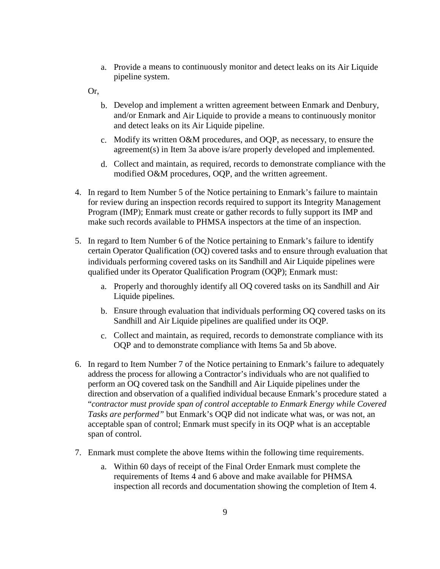a. Provide a means to continuously monitor and detect leaks on its Air Liquide pipeline system.

Or,

- b. Develop and implement a written agreement between Enmark and Denbury, and/or Enmark and Air Liquide to provide a means to continuously monitor and detect leaks on its Air Liquide pipeline.
- c. Modify its written O&M procedures, and OQP, as necessary, to ensure the agreement(s) in Item 3a above is/are properly developed and implemented.
- d. Collect and maintain, as required, records to demonstrate compliance with the modified O&M procedures, OQP, and the written agreement.
- 4. In regard to Item Number 5 of the Notice pertaining to Enmark's failure to maintain for review during an inspection records required to support its Integrity Management Program (IMP); Enmark must create or gather records to fully support its IMP and make such records available to PHMSA inspectors at the time of an inspection.
- 5. In regard to Item Number 6 of the Notice pertaining to Enmark's failure to identify certain Operator Qualification (OQ) covered tasks and to ensure through evaluation that individuals performing covered tasks on its Sandhill and Air Liquide pipelines were qualified under its Operator Qualification Program (OQP); Enmark must:
	- a. Properly and thoroughly identify all OQ covered tasks on its Sandhill and Air Liquide pipelines.
	- b. Ensure through evaluation that individuals performing OQ covered tasks on its Sandhill and Air Liquide pipelines are qualified under its OQP.
	- c. Collect and maintain, as required, records to demonstrate compliance with its OQP and to demonstrate compliance with Items 5a and 5b above.
- 6. In regard to Item Number 7 of the Notice pertaining to Enmark's failure to adequately address the process for allowing a Contractor's individuals who are not qualified to perform an OQ covered task on the Sandhill and Air Liquide pipelines under the direction and observation of a qualified individual because Enmark's procedure stated a "*contractor must provide span of control acceptable to Enmark Energy while Covered Tasks are performed"* but Enmark's OQP did not indicate what was, or was not, an acceptable span of control; Enmark must specify in its OQP what is an acceptable span of control.
- 7. Enmark must complete the above Items within the following time requirements.
	- a. Within 60 days of receipt of the Final Order Enmark must complete the requirements of Items 4 and 6 above and make available for PHMSA inspection all records and documentation showing the completion of Item 4.